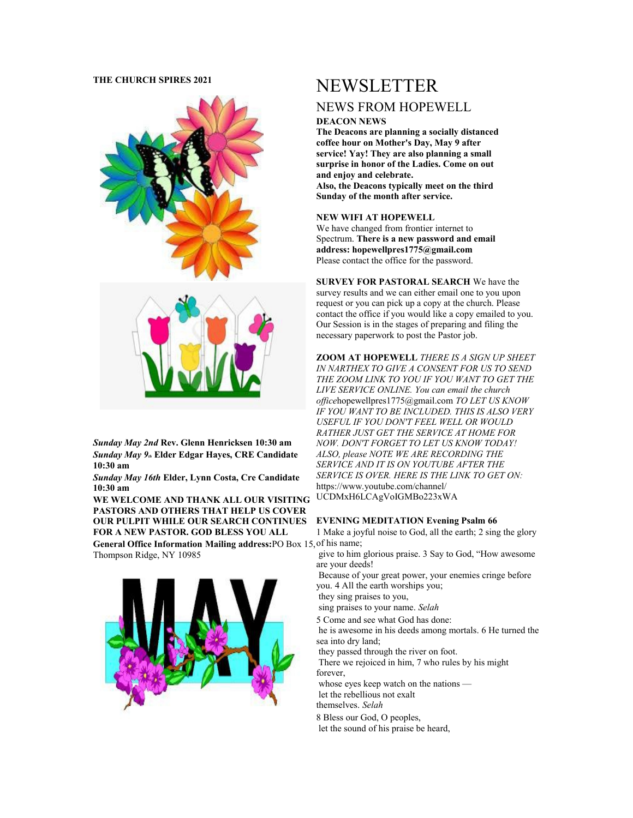## **THE CHURCH SPIRES 2021**



*Sunday May 2nd* **Rev. Glenn Henricksen 10:30 am** *Sunday May 9th* **Elder Edgar Hayes, CRE Candidate 10:30 am**

*Sunday May 16th* **Elder, Lynn Costa, Cre Candidate 10:30 am**

**WE WELCOME AND THANK ALL OUR VISITING PASTORS AND OTHERS THAT HELP US COVER OUR PULPIT WHILE OUR SEARCH CONTINUES FOR A NEW PASTOR. GOD BLESS YOU ALL**

**General Office Information Mailing address:**PO Box 15, of his name; Thompson Ridge, NY 10985



# NEWSLETTER

# NEWS FROM HOPEWELL

#### **DEACON NEWS**

**The Deacons are planning a socially distanced coffee hour on Mother's Day, May 9 after service! Yay! They are also planning a small surprise in honor of the Ladies. Come on out and enjoy and celebrate. Also, the Deacons typically meet on the third Sunday of the month after service.**

#### **NEW WIFI AT HOPEWELL**

We have changed from frontier internet to Spectrum. **There is a new password and email address: hopewellpres1775@gmail.com** Please contact the office for the password.

**SURVEY FOR PASTORAL SEARCH** We have the survey results and we can either email one to you upon request or you can pick up a copy at the church. Please contact the office if you would like a copy emailed to you. Our Session is in the stages of preparing and filing the necessary paperwork to post the Pastor job.

**ZOOM AT HOPEWELL** *THERE IS A SIGN UP SHEET IN NARTHEX TO GIVE A CONSENT FOR US TO SEND THE ZOOM LINK TO YOU IF YOU WANT TO GET THE LIVE SERVICE ONLINE. You can email the church office*hopewellpres1775@gmail.com *TO LET US KNOW IF YOU WANT TO BE INCLUDED. THIS IS ALSO VERY USEFUL IF YOU DON'T FEEL WELL OR WOULD RATHER JUST GET THE SERVICE AT HOME FOR NOW. DON'T FORGET TO LET US KNOW TODAY! ALSO, please NOTE WE ARE RECORDING THE SERVICE AND IT IS ON YOUTUBE AFTER THE SERVICE IS OVER. HERE IS THE LINK TO GET ON:* https://www.youtube.com/channel/ UCDMxH6LCAgVoIGMBo223xWA

#### **EVENING MEDITATION Evening Psalm 66**

1 Make a joyful noise to God, all the earth; 2 sing the glory

 give to him glorious praise. 3 Say to God, "How awesome are your deeds!

 Because of your great power, your enemies cringe before you. 4 All the earth worships you;

they sing praises to you,

sing praises to your name. *Selah*

5 Come and see what God has done:

 he is awesome in his deeds among mortals. 6 He turned the sea into dry land;

they passed through the river on foot.

 There we rejoiced in him, 7 who rules by his might forever,

whose eyes keep watch on the nations —

 let the rebellious not exalt themselves. *Selah*

8 Bless our God, O peoples,

let the sound of his praise be heard,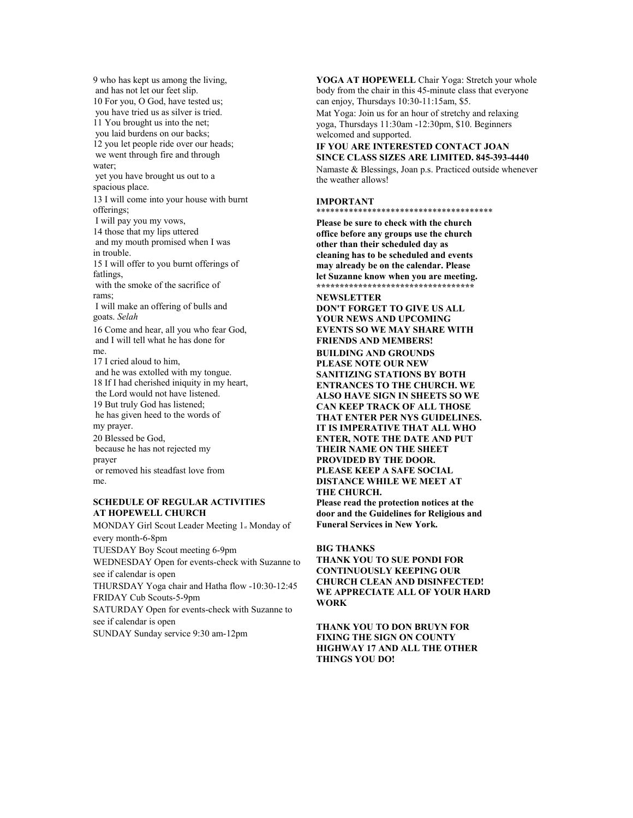9 who has kept us among the living, and has not let our feet slip. 10 For you, O God, have tested us; you have tried us as silver is tried. 11 You brought us into the net; you laid burdens on our backs; 12 you let people ride over our heads; we went through fire and through water; yet you have brought us out to a spacious place. 13 I will come into your house with burnt offerings; I will pay you my vows, 14 those that my lips uttered and my mouth promised when I was in trouble. 15 I will offer to you burnt offerings of fatlings, with the smoke of the sacrifice of rams; I will make an offering of bulls and goats. *Selah* 16 Come and hear, all you who fear God, and I will tell what he has done for me. 17 I cried aloud to him, and he was extolled with my tongue. 18 If I had cherished iniquity in my heart, the Lord would not have listened. 19 But truly God has listened; he has given heed to the words of my prayer. 20 Blessed be God, because he has not rejected my prayer or removed his steadfast love from me.

#### **SCHEDULE OF REGULAR ACTIVITIES AT HOPEWELL CHURCH**

MONDAY Girl Scout Leader Meeting 1<sub>st</sub> Monday of every month-6-8pm TUESDAY Boy Scout meeting 6-9pm WEDNESDAY Open for events-check with Suzanne to see if calendar is open THURSDAY Yoga chair and Hatha flow -10:30-12:45 FRIDAY Cub Scouts-5-9pm SATURDAY Open for events-check with Suzanne to see if calendar is open SUNDAY Sunday service 9:30 am-12pm

**YOGA AT HOPEWELL** Chair Yoga: Stretch your whole body from the chair in this 45-minute class that everyone can enjoy, Thursdays 10:30-11:15am, \$5. Mat Yoga: Join us for an hour of stretchy and relaxing

yoga, Thursdays 11:30am -12:30pm, \$10. Beginners welcomed and supported.

#### **IF YOU ARE INTERESTED CONTACT JOAN SINCE CLASS SIZES ARE LIMITED. 845-393-4440**

Namaste & Blessings, Joan p.s. Practiced outside whenever the weather allows!

#### **IMPORTANT**

\*\*\*\*\*\*\*\*\*\*\*\*\*\*\*\*\*\*\*\*\*\*\*\*\*\*\*\*\*\*\*\*\*\*\*\*\*\*

**Please be sure to check with the church office before any groups use the church other than their scheduled day as cleaning has to be scheduled and events may already be on the calendar. Please let Suzanne know when you are meeting. \*\*\*\*\*\*\*\*\*\*\*\*\*\*\*\*\*\*\*\*\*\*\*\*\*\*\*\*\*\*\*\*\*\***

## **NEWSLETTER DON'T FORGET TO GIVE US ALL YOUR NEWS AND UPCOMING EVENTS SO WE MAY SHARE WITH FRIENDS AND MEMBERS! BUILDING AND GROUNDS PLEASE NOTE OUR NEW SANITIZING STATIONS BY BOTH ENTRANCES TO THE CHURCH. WE ALSO HAVE SIGN IN SHEETS SO WE CAN KEEP TRACK OF ALL THOSE THAT ENTER PER NYS GUIDELINES. IT IS IMPERATIVE THAT ALL WHO ENTER, NOTE THE DATE AND PUT THEIR NAME ON THE SHEET PROVIDED BY THE DOOR. PLEASE KEEP A SAFE SOCIAL DISTANCE WHILE WE MEET AT THE CHURCH. Please read the protection notices at the**

**door and the Guidelines for Religious and Funeral Services in New York.**

#### **BIG THANKS**

**THANK YOU TO SUE PONDI FOR CONTINUOUSLY KEEPING OUR CHURCH CLEAN AND DISINFECTED! WE APPRECIATE ALL OF YOUR HARD WORK**

**THANK YOU TO DON BRUYN FOR FIXING THE SIGN ON COUNTY HIGHWAY 17 AND ALL THE OTHER THINGS YOU DO!**